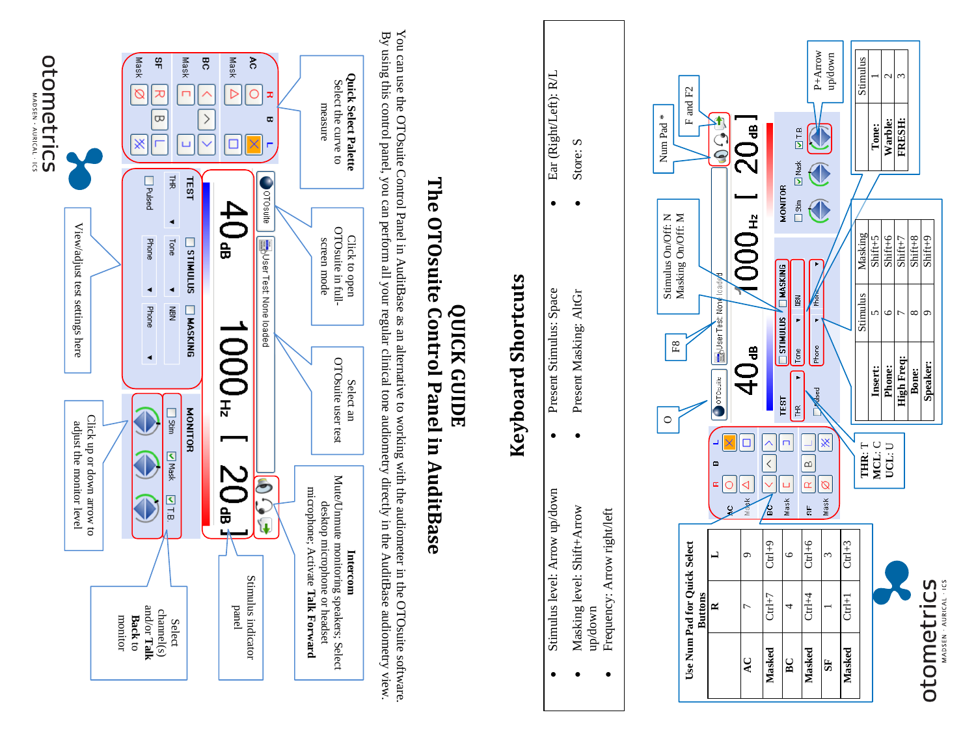

You can use the OTOsuite Control Panel in AuditBase as an alternative to working with the audiometer in the OTOsuite software By using this control panel, you can perform all your regular clinical tone audiometry directly in the AuditBase audiometry view You can use the OTOsuite Control Panel in AuditBase as an alternative to working with the audiometer in the OTOsuite software. By using this control panel, you can perform all your regular clinical tone audiometry directly in the AuditBase audiometry view.

#### **QUICK GUIDE The OTOsuite Control Panel in AuditBase**

# **Keyboard Shortcuts Keyboard Shortcuts**

Ear (Right/Left): R/L

 $\bullet$ 

Store: S

 Stimulus level: Arrow up/down • Present Stimulus: Space • Ear (Right/Left): R/L • Present Masking: AltGr • Store: S Present Stimulus: Space Present Masking: AltGr  $\bullet$ •Stimulus level: Arrow up/down Masking level: Shift+Arrow Masking level: Shift+Arrow **Frequency: Arrow right/left** Frequency: Arrow right/left up/down •••